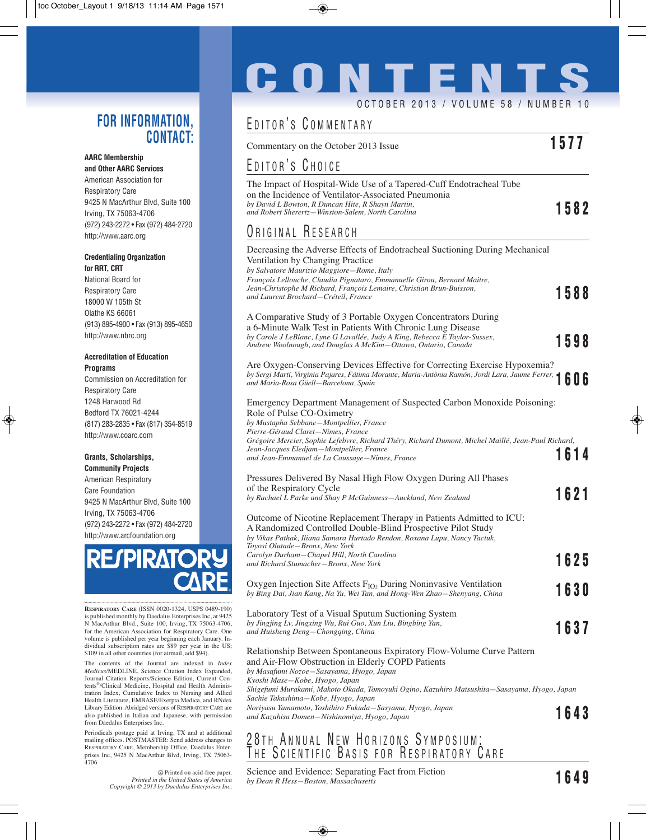### **FOR INFORMATION, CONTACT:**

#### **AARC Membership and Other AARC Services**

American Association for Respiratory Care 9425 N MacArthur Blvd, Suite 100 Irving, TX 75063-4706 (972) 243-2272 • Fax (972) 484-2720 http://www.aarc.org

#### **Credentialing Organization for RRT, CRT**

National Board for Respiratory Care 18000 W 105th St Olathe KS 66061 (913) 895-4900 • Fax (913) 895-4650 http://www.nbrc.org

### **Accreditation of Education Programs**

Commission on Accreditation for Respiratory Care 1248 Harwood Rd Bedford TX 76021-4244 (817) 283-2835 • Fax (817) 354-8519 http://www.coarc.com

#### **Grants, Scholarships, Community Projects**

American Respiratory Care Foundation 9425 N MacArthur Blvd, Suite 100 Irving, TX 75063-4706 (972) 243-2272 • Fax (972) 484-2720 http://www.arcfoundation.org



**RESPIRATORY CARE** (ISSN 0020-1324, USPS 0489-190) is published monthly by Daedalus Enterprises Inc, at 9425 N MacArthur Blvd., Suite 100, Irving, TX 75063-4706, for the American Association for Respiratory Care. One volume is published per year beginning each January. Individual subscription rates are \$89 per year in the US; \$109 in all other countries (for airmail, add \$94).

The contents of the Journal are indexed in *Index Medicus*/MEDLINE, Science Citation Index Expanded, Journal Citation Reports/Science Edition, Current Contents®/Clinical Medicine, Hospital and Health Administration Index, Cumulative Index to Nursing and Allied Health Literature, EMBASE/Exerpta Medica, and RNdex Library Edition. Abridged versions of RESPIRATORY CARE are also published in Italian and Japanese, with permission from Daedalus Enterprises Inc.

Periodicals postage paid at Irving, TX and at additional mailing offices. POSTMASTER: Send address changes to RESPIRATORY CARE, Membership Office, Daedalus Enterprises Inc, 9425 N MacArthur Blvd, Irving, TX 75063- 4706

> $\otimes$  Printed on acid-free paper. *Printed in the United States of America Copyright © 2013 by Daedalus Enterprises Inc.*

# **CONTENTS** OCTOBER 2013 / VOLUME 58 / NUMBER 10

### EDITOR<sup>'</sup> COMMENTARY

| EDIIOR S GOMMENIARY                                                                                                                                                                                                                                                                                               |             |
|-------------------------------------------------------------------------------------------------------------------------------------------------------------------------------------------------------------------------------------------------------------------------------------------------------------------|-------------|
| Commentary on the October 2013 Issue                                                                                                                                                                                                                                                                              | 1577        |
| EDITOR'S CHOICE                                                                                                                                                                                                                                                                                                   |             |
| The Impact of Hospital-Wide Use of a Tapered-Cuff Endotracheal Tube<br>on the Incidence of Ventilator-Associated Pneumonia<br>by David L Bowton, R Duncan Hite, R Shayn Martin,<br>and Robert Sherertz-Winston-Salem, North Carolina                                                                              | 1582        |
| <b>URIGINAL RESEARCH</b>                                                                                                                                                                                                                                                                                          |             |
| Decreasing the Adverse Effects of Endotracheal Suctioning During Mechanical<br>Ventilation by Changing Practice<br>by Salvatore Maurizio Maggiore-Rome, Italy<br>François Lellouche, Claudia Pignataro, Emmanuelle Girou, Bernard Maitre,<br>Jean-Christophe M Richard, François Lemaire, Christian Brun-Buisson, |             |
| and Laurent Brochard–Créteil, France                                                                                                                                                                                                                                                                              | 1588        |
| A Comparative Study of 3 Portable Oxygen Concentrators During<br>a 6-Minute Walk Test in Patients With Chronic Lung Disease<br>by Carole J LeBlanc, Lyne G Lavallée, Judy A King, Rebecca E Taylor-Sussex,<br>Andrew Woolnough, and Douglas A McKim-Ottawa, Ontario, Canada                                       | 1598        |
| Are Oxygen-Conserving Devices Effective for Correcting Exercise Hypoxemia?<br>AIE UXYgen-Conserving Deville Little Conservation of Maria-Antònia Ramón, Jordi Lara, Jaume Ferrer, 1606<br>and Maria-Rosa Güell-Barcelona, Spain                                                                                   |             |
| Emergency Department Management of Suspected Carbon Monoxide Poisoning:<br>Role of Pulse CO-Oximetry<br>by Mustapha Sebbane-Montpellier, France<br>Pierre-Géraud Claret-Nimes, France                                                                                                                             |             |
| Grégoire Mercier, Sophie Lefebvre, Richard Théry, Richard Dumont, Michel Maillé, Jean-Paul Richard,<br>Jean-Jacques Eledjam-Montpellier, France<br>and Jean-Emmanuel de La Coussaye—Nimes, France                                                                                                                 | 1614        |
| Pressures Delivered By Nasal High Flow Oxygen During All Phases<br>of the Respiratory Cycle<br>by Rachael L Parke and Shay P McGuinness-Auckland, New Zealand                                                                                                                                                     | 1621        |
| Outcome of Nicotine Replacement Therapy in Patients Admitted to ICU:<br>A Randomized Controlled Double-Blind Prospective Pilot Study<br>by Vikas Pathak, Iliana Samara Hurtado Rendon, Roxana Lupu, Nancy Tactuk,<br>Toyosi Olutade-Bronx, New York                                                               |             |
| Carolyn Durham-Chapel Hill, North Carolina<br>and Richard Stumacher-Bronx, New York                                                                                                                                                                                                                               | <b>1625</b> |
| Oxygen Injection Site Affects $F_{IO_2}$ During Noninvasive Ventilation<br>by Bing Dai, Jian Kang, Na Yu, Wei Tan, and Hong-Wen Zhao-Shenyang, China                                                                                                                                                              | 1630        |
| Laboratory Test of a Visual Sputum Suctioning System<br>by Jingjing Lv, Jingxing Wu, Rui Guo, Xun Liu, Bingbing Yan,<br>and Huisheng Deng-Chongqing, China                                                                                                                                                        | 1637        |
| Relationship Between Spontaneous Expiratory Flow-Volume Curve Pattern<br>and Air-Flow Obstruction in Elderly COPD Patients<br>by Masafumi Nozoe-Sasayama, Hyogo, Japan                                                                                                                                            |             |
| Kyoshi Mase-Kobe, Hyogo, Japan<br>Shigefumi Murakami, Makoto Okada, Tomoyuki Ogino, Kazuhiro Matsushita-Sasayama, Hyogo, Japan<br>Sachie Takashima-Kobe, Hyogo, Japan                                                                                                                                             |             |
| Noriyasu Yamamoto, Yoshihiro Fukuda-Sasyama, Hyogo, Japan<br>and Kazuhisa Domen-Nishinomiya, Hyogo, Japan                                                                                                                                                                                                         | 1643        |

### <u>Z</u>8TH\_ANNUAL NEW HORIZONS SYMPOSIUM: THE SCIENTIFIC BASIS FOR KESPIRATORY GARE

Science and Evidence: Separating Fact from Fiction *by Dean R Hess—Boston, Massachusetts* **1649**